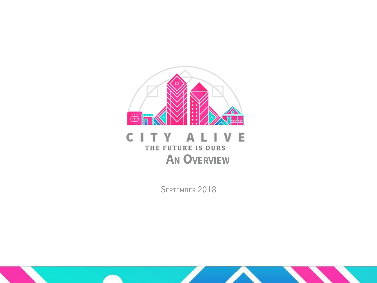

#### CITY AL  $\mathsf{V}$ -E ı THE FUTURE IS OURS **AN OVERVIEW**

SEPTEMBER 2018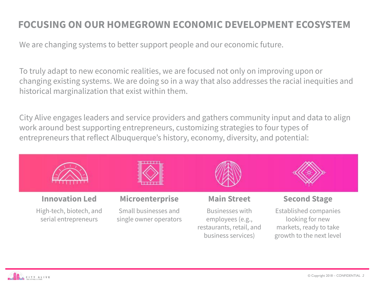## **FOCUSING ON OUR HOMEGROWN ECONOMIC DEVELOPMENT ECOSYSTEM**

We are changing systems to better support people and our economic future.

To truly adapt to new economic realities, we are focused not only on improving upon or changing existing systems. We are doing so in a way that also addresses the racial inequities and historical marginalization that exist within them.

City Alive engages leaders and service providers and gathers community input and data to align work around best supporting entrepreneurs, customizing strategies to four types of entrepreneurs that reflect Albuquerque's history, economy, diversity, and potential:



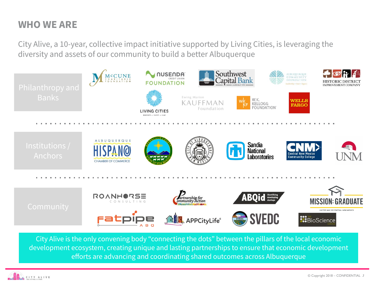## **WHO WE ARE**

City Alive, a 10-year, collective impact initiative supported by Living Cities, is leveraging the diversity and assets of our community to build a better Albuquerque



City Alive is the only convening body "connecting the dots" between the pillars of the local economic development ecosystem, creating unique and lasting partnerships to ensure that economic development efforts are advancing and coordinating shared outcomes across Albuquerque

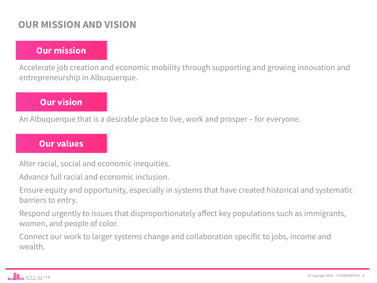## **OUR MISSION AND VISION**

## **Our mission**

Accelerate job creation and economic mobility through supporting and growing innovation and entrepreneurship in Albuquerque.

## **Our vision**

An Albuquerque that is a desirable place to live, work and prosper – for everyone.

#### **Our values**

Alter racial, social and economic inequities.

Advance full racial and economic inclusion.

Ensure equity and opportunity, especially in systems that have created historical and systematic barriers to entry.

Respond urgently to issues that disproportionately affect key populations such as immigrants, women, and people of color.

Connect our work to larger systems change and collaboration specific to jobs, income and wealth.

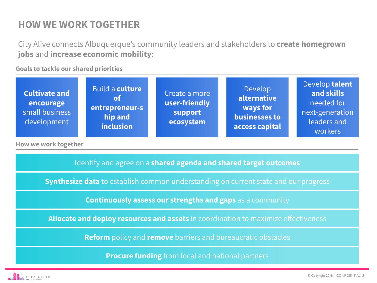## **HOW WE WORK TOGETHER**

City Alive connects Albuquerque's community leaders and stakeholders to **create homegrown jobs** and **increase economic mobility**:

**Goals to tackle our shared priorities**

**How we work together**

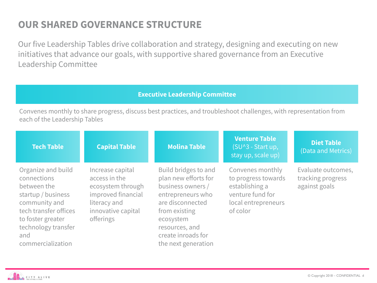## **OUR SHARED GOVERNANCE STRUCTURE**

Our five Leadership Tables drive collaboration and strategy, designing and executing on new initiatives that advance our goals, with supportive shared governance from an Executive Leadership Committee

#### **Executive Leadership Committee**

Convenes monthly to share progress, discuss best practices, and troubleshoot challenges, with representation from each of the Leadership Tables

| <b>Tech Table</b>                                                                                                                                                                        | <b>Capital Table</b>                                                                                                            | <b>Molina Table</b>                                                                                                                                                                                     | <b>Venture Table</b><br>(SU^3 - Start up,<br>stay up, scale up)                                                  | <b>Diet Table</b><br>(Data and Metrics)                  |
|------------------------------------------------------------------------------------------------------------------------------------------------------------------------------------------|---------------------------------------------------------------------------------------------------------------------------------|---------------------------------------------------------------------------------------------------------------------------------------------------------------------------------------------------------|------------------------------------------------------------------------------------------------------------------|----------------------------------------------------------|
| Organize and build<br>connections<br>between the<br>startup / business<br>community and<br>tech transfer offices<br>to foster greater<br>technology transfer<br>and<br>commercialization | Increase capital<br>access in the<br>ecosystem through<br>improved financial<br>literacy and<br>innovative capital<br>offerings | Build bridges to and<br>plan new efforts for<br>business owners /<br>entrepreneurs who<br>are disconnected<br>from existing<br>ecosystem<br>resources, and<br>create inroads for<br>the next generation | Convenes monthly<br>to progress towards<br>establishing a<br>venture fund for<br>local entrepreneurs<br>of color | Evaluate outcomes,<br>tracking progress<br>against goals |

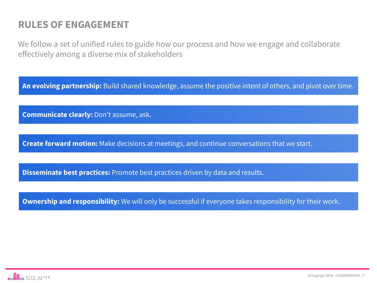## **RULES OF ENGAGEMENT**

We follow a set of unified rules to guide how our process and how we engage and collaborate effectively among a diverse mix of stakeholders

**An evolving partnership:** Build shared knowledge, assume the positive intent of others, and pivot over time.

**Communicate clearly:** Don't assume, ask.

**Create forward motion:** Make decisions at meetings, and continue conversations that we start.

**Disseminate best practices:** Promote best practices driven by data and results.

**Ownership and responsibility:** We will only be successful if everyone takes responsibility for their work.

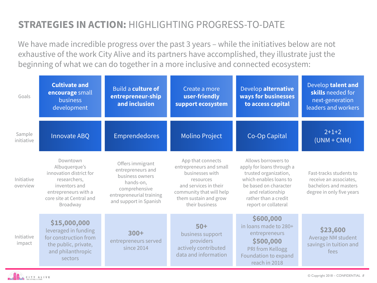## **STRATEGIES IN ACTION:** HIGHLIGHTING PROGRESS-TO-DATE

We have made incredible progress over the past 3 years – while the initiatives below are not exhaustive of the work City Alive and its partners have accomplished, they illustrate just the beginning of what we can do together in a more inclusive and connected ecosystem:

| Goals                  | <b>Cultivate and</b><br>encourage small<br>business<br>development                                                                                    | Build a culture of<br>entrepreneur-ship<br>and inclusion                                                                                     | Create a more<br>user-friendly<br>support ecosystem                                                                                                                          | Develop alternative<br>ways for businesses<br>to access capital                                                                                                                                  | Develop talent and<br>skills needed for<br>next-generation<br>leaders and workers                       |
|------------------------|-------------------------------------------------------------------------------------------------------------------------------------------------------|----------------------------------------------------------------------------------------------------------------------------------------------|------------------------------------------------------------------------------------------------------------------------------------------------------------------------------|--------------------------------------------------------------------------------------------------------------------------------------------------------------------------------------------------|---------------------------------------------------------------------------------------------------------|
| Sample<br>initiative   | Innovate ABQ                                                                                                                                          | <b>Emprendedores</b>                                                                                                                         | <b>Molino Project</b>                                                                                                                                                        | Co-Op Capital                                                                                                                                                                                    | $2+1+2$<br>$(UNM + CNM)$                                                                                |
| Initiative<br>overview | Downtown<br>Albuquerque's<br>innovation district for<br>researchers,<br>inventors and<br>entrepreneurs with a<br>core site at Central and<br>Broadway | Offers immigrant<br>entrepreneurs and<br>business owners<br>hands-on,<br>comprehensive<br>entrepreneurial training<br>and support in Spanish | App that connects<br>entrepreneurs and small<br>businesses with<br>resources<br>and services in their<br>community that will help<br>them sustain and grow<br>their business | Allows borrowers to<br>apply for loans through a<br>trusted organization,<br>which enables loans to<br>be based on character<br>and relationship<br>rather than a credit<br>report or collateral | Fast-tracks students to<br>receive an associates,<br>bachelors and masters<br>degree in only five years |
| Initiative<br>impact   | \$15,000,000<br>leveraged in funding<br>for construction from<br>the public, private,<br>and philanthropic<br>sectors                                 | $300+$<br>entrepreneurs served<br>since 2014                                                                                                 | $50+$<br>business support<br>providers<br>actively contributed<br>data and information                                                                                       | \$600,000<br>in loans made to 280+<br>entrepreneurs<br>\$500,000<br>PRI from Kellogg<br>Foundation to expand<br>reach in 2018                                                                    | \$23,600<br>Average NM student<br>savings in tuition and<br>fees                                        |

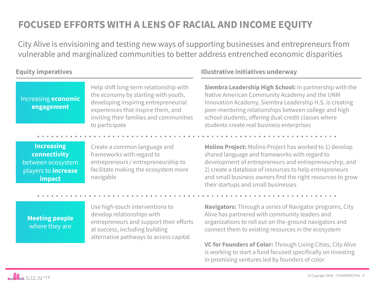## **FOCUSED EFFORTS WITH A LENS OF RACIAL AND INCOME EQUITY**

City Alive is envisioning and testing new ways of supporting businesses and entrepreneurs from vulnerable and marginalized communities to better address entrenched economic disparities

Increasing **economic engagement**

#### Help shift long-term relationship with the economy by starting with youth, developing inspiring entrepreneurial experiences that inspire them, and inviting their families and communities to participate

#### **Increasing connectivity**  between ecosystem players to **increase impact**

Create a common language and frameworks with regard to entrepreneurs / entrepreneurship to facilitate making the ecosystem more navigable

#### **Meeting people**  where they are

Use high-touch interventions to develop relationships with entrepreneurs and support their efforts at success, including building alternative pathways to access capital

#### **Equity imperatives Illustrative initiatives underway**

**Siembra Leadership High School:** In partnership with the Native American Community Academy and the UNM Innovation Academy, Siembra Leadership H.S. is creating peer-mentoring relationships between college and high school students, offering dual-credit classes where students create real business enterprises

**Molino Project:** Molino Project has worked to 1) develop shared language and frameworks with regard to development of entrepreneurs and entrepreneurship, and 2) create a database of resources to help entrepreneurs and small business owners find the right resources to grow their startups and small businesses

**Navigators:** Through a series of Navigator programs, City Alive has partnered with community leaders and organizations to roll out on-the-ground navigators and connect them to existing resources in the ecosystem

**VC for Founders of Color:** Through Living Cities, City Alive is working to start a fund focused specifically on investing in promising ventures led by founders of color

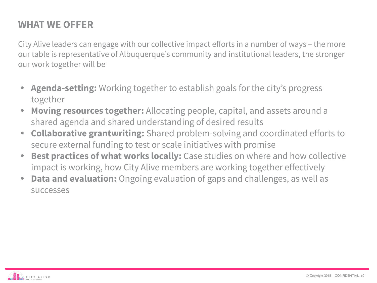## **WHAT WE OFFER**

City Alive leaders can engage with our collective impact efforts in a number of ways – the more our table is representative of Albuquerque's community and institutional leaders, the stronger our work together will be

- **• Agenda-setting:** Working together to establish goals for the city's progress together
- **• Moving resources together:** Allocating people, capital, and assets around a shared agenda and shared understanding of desired results
- **• Collaborative grantwriting:** Shared problem-solving and coordinated efforts to secure external funding to test or scale initiatives with promise
- **Best practices of what works locally:** Case studies on where and how collective impact is working, how City Alive members are working together effectively
- **• Data and evaluation:** Ongoing evaluation of gaps and challenges, as well as successes

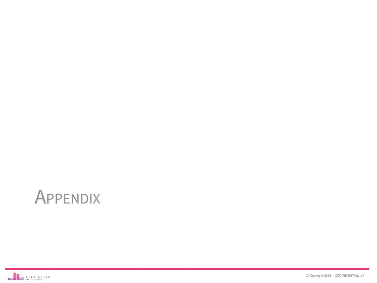# APPENDIX

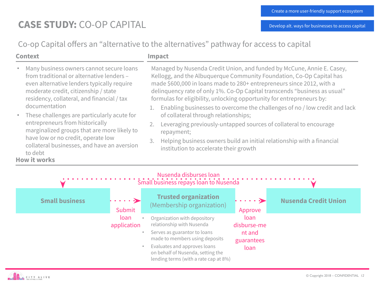## **CASE STUDY:** CO-OP CAPITAL

Co-op Capital offers an "alternative to the alternatives" pathway for access to capital

#### **Context Impact**

- Many business owners cannot secure loans from traditional or alternative lenders – even alternative lenders typically require moderate credit, citizenship / state residency, collateral, and financial / tax documentation
- These challenges are particularly acute for entrepreneurs from historically marginalized groups that are more likely to have low or no credit, operate low collateral businesses, and have an aversion to debt

#### **How it works**

- Managed by Nusenda Credit Union, and funded by McCune, Annie E. Casey, Kellogg, and the Albuquerque Community Foundation, Co-Op Capital has made \$600,000 in loans made to 280+ entrepreneurs since 2012, with a delinquency rate of only 1%. Co-Op Capital transcends "business as usual" formulas for eligibility, unlocking opportunity for entrepreneurs by:
- 1. Enabling businesses to overcome the challenges of no / low credit and lack of collateral through relationships;
- 2. Leveraging previously-untapped sources of collateral to encourage repayment;
- 3. Helping business owners build an initial relationship with a financial institution to accelerate their growth